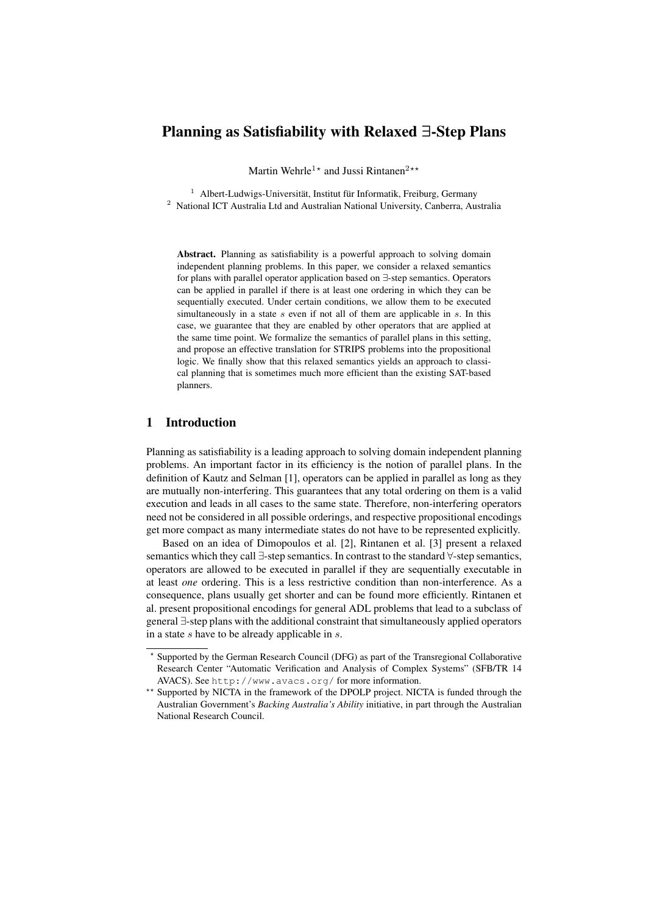# Planning as Satisfiability with Relaxed ∃-Step Plans

Martin Wehrle<sup>1\*</sup> and Jussi Rintanen<sup>2\*\*</sup>

 $1$  Albert-Ludwigs-Universität, Institut für Informatik, Freiburg, Germany <sup>2</sup> National ICT Australia Ltd and Australian National University, Canberra, Australia

Abstract. Planning as satisfiability is a powerful approach to solving domain independent planning problems. In this paper, we consider a relaxed semantics for plans with parallel operator application based on ∃-step semantics. Operators can be applied in parallel if there is at least one ordering in which they can be sequentially executed. Under certain conditions, we allow them to be executed simultaneously in a state  $s$  even if not all of them are applicable in  $s$ . In this case, we guarantee that they are enabled by other operators that are applied at the same time point. We formalize the semantics of parallel plans in this setting, and propose an effective translation for STRIPS problems into the propositional logic. We finally show that this relaxed semantics yields an approach to classical planning that is sometimes much more efficient than the existing SAT-based planners.

## 1 Introduction

Planning as satisfiability is a leading approach to solving domain independent planning problems. An important factor in its efficiency is the notion of parallel plans. In the definition of Kautz and Selman [1], operators can be applied in parallel as long as they are mutually non-interfering. This guarantees that any total ordering on them is a valid execution and leads in all cases to the same state. Therefore, non-interfering operators need not be considered in all possible orderings, and respective propositional encodings get more compact as many intermediate states do not have to be represented explicitly.

Based on an idea of Dimopoulos et al. [2], Rintanen et al. [3] present a relaxed semantics which they call ∃-step semantics. In contrast to the standard ∀-step semantics, operators are allowed to be executed in parallel if they are sequentially executable in at least *one* ordering. This is a less restrictive condition than non-interference. As a consequence, plans usually get shorter and can be found more efficiently. Rintanen et al. present propositional encodings for general ADL problems that lead to a subclass of general ∃-step plans with the additional constraint that simultaneously applied operators in a state  $s$  have to be already applicable in  $s$ .

<sup>⋆</sup> Supported by the German Research Council (DFG) as part of the Transregional Collaborative Research Center "Automatic Verification and Analysis of Complex Systems" (SFB/TR 14 AVACS). See http://www.avacs.org/ for more information.

<sup>\*\*</sup> Supported by NICTA in the framework of the DPOLP project. NICTA is funded through the Australian Government's *Backing Australia's Ability* initiative, in part through the Australian National Research Council.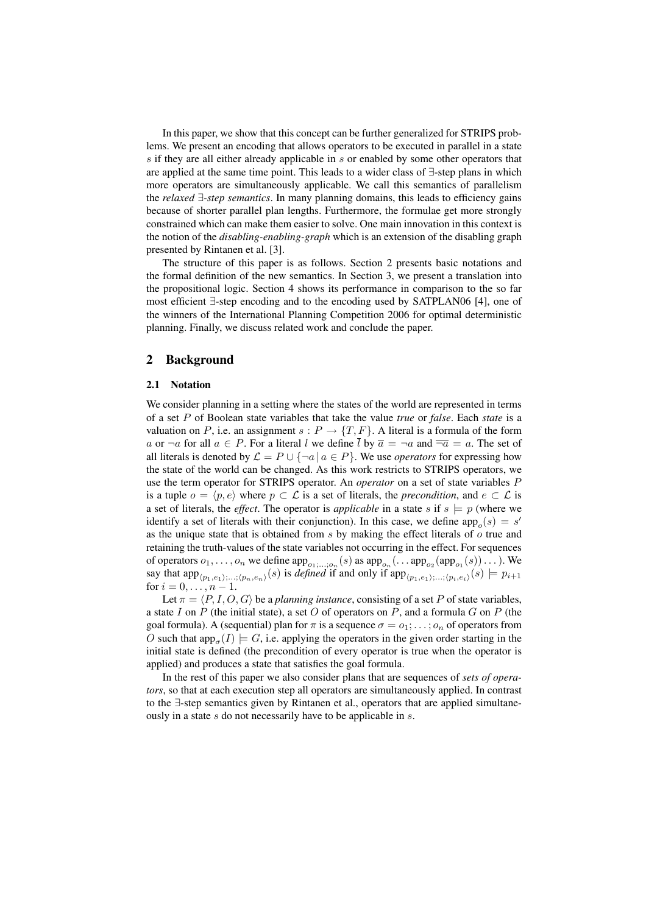In this paper, we show that this concept can be further generalized for STRIPS problems. We present an encoding that allows operators to be executed in parallel in a state s if they are all either already applicable in s or enabled by some other operators that are applied at the same time point. This leads to a wider class of ∃-step plans in which more operators are simultaneously applicable. We call this semantics of parallelism the *relaxed* ∃*-step semantics*. In many planning domains, this leads to efficiency gains because of shorter parallel plan lengths. Furthermore, the formulae get more strongly constrained which can make them easier to solve. One main innovation in this context is the notion of the *disabling-enabling-graph* which is an extension of the disabling graph presented by Rintanen et al. [3].

The structure of this paper is as follows. Section 2 presents basic notations and the formal definition of the new semantics. In Section 3, we present a translation into the propositional logic. Section 4 shows its performance in comparison to the so far most efficient ∃-step encoding and to the encoding used by SATPLAN06 [4], one of the winners of the International Planning Competition 2006 for optimal deterministic planning. Finally, we discuss related work and conclude the paper.

## 2 Background

#### 2.1 Notation

We consider planning in a setting where the states of the world are represented in terms of a set P of Boolean state variables that take the value *true* or *false*. Each *state* is a valuation on P, i.e. an assignment  $s: P \to \{T, F\}$ . A literal is a formula of the form a or  $\neg a$  for all  $a \in P$ . For a literal l we define  $\overline{l}$  by  $\overline{a} = \neg a$  and  $\overline{\neg a} = a$ . The set of all literals is denoted by  $\mathcal{L} = P \cup \{\neg a \mid a \in P\}$ . We use *operators* for expressing how the state of the world can be changed. As this work restricts to STRIPS operators, we use the term operator for STRIPS operator. An *operator* on a set of state variables P is a tuple  $o = \langle p, e \rangle$  where  $p \subset \mathcal{L}$  is a set of literals, the *precondition*, and  $e \subset \mathcal{L}$  is a set of literals, the *effect*. The operator is *applicable* in a state s if  $s \models p$  (where we identify a set of literals with their conjunction). In this case, we define  $app_o(s) = s'$ as the unique state that is obtained from  $s$  by making the effect literals of  $o$  true and retaining the truth-values of the state variables not occurring in the effect. For sequences of operators  $o_1, \ldots, o_n$  we define  $app_{o_1; \ldots; o_n}(s)$  as  $app_{o_n}(\ldots app_{o_2}(\text{app}_{o_1}(s)) \ldots)$ . We say that  $app_{(p_1,e_1);...;(p_n,e_n)}(s)$  is *defined* if and only if  $app_{(p_1,e_1);...;(p_i,e_i)}(s) \models p_{i+1}$ for  $i = 0, \ldots, n - 1$ .

Let  $\pi = \langle P, I, O, G \rangle$  be a *planning instance*, consisting of a set P of state variables, a state I on P (the initial state), a set O of operators on P, and a formula G on P (the goal formula). A (sequential) plan for  $\pi$  is a sequence  $\sigma = o_1; \ldots; o_n$  of operators from O such that  $app_{\sigma}(I) \models G$ , i.e. applying the operators in the given order starting in the initial state is defined (the precondition of every operator is true when the operator is applied) and produces a state that satisfies the goal formula.

In the rest of this paper we also consider plans that are sequences of *sets of operators*, so that at each execution step all operators are simultaneously applied. In contrast to the ∃-step semantics given by Rintanen et al., operators that are applied simultaneously in a state s do not necessarily have to be applicable in s.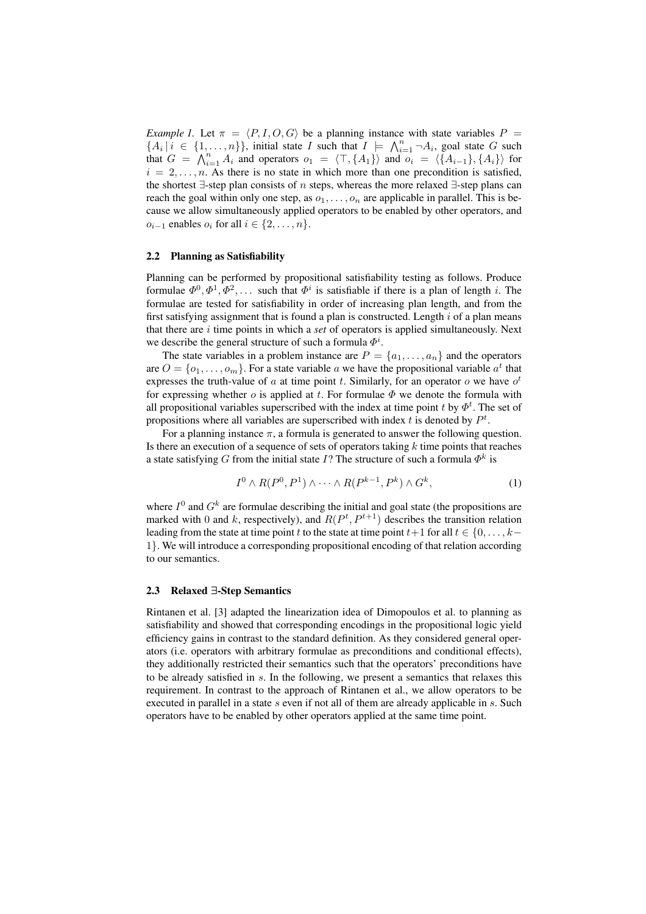*Example 1.* Let  $\pi = \langle P, I, O, G \rangle$  be a planning instance with state variables P =  ${A_i \mid i \in \{1, ..., n\}}$ , initial state I such that  $I \models \bigwedge_{i=1}^n \neg A_i$ , goal state G such that  $G = \bigwedge_{i=1}^{n} A_i$  and operators  $o_1 = \langle \top, \{A_1\} \rangle$  and  $o_i = \langle \{A_{i-1}\}, \{A_i\} \rangle$  for  $i = 2, \ldots, n$ . As there is no state in which more than one precondition is satisfied, the shortest  $\exists$ -step plan consists of n steps, whereas the more relaxed  $\exists$ -step plans can reach the goal within only one step, as  $o_1, \ldots, o_n$  are applicable in parallel. This is because we allow simultaneously applied operators to be enabled by other operators, and  $o_{i-1}$  enables  $o_i$  for all  $i \in \{2, \ldots, n\}.$ 

## 2.2 Planning as Satisfiability

Planning can be performed by propositional satisfiability testing as follows. Produce formulae  $\Phi^0, \Phi^1, \Phi^2, \ldots$  such that  $\Phi^i$  is satisfiable if there is a plan of length i. The formulae are tested for satisfiability in order of increasing plan length, and from the first satisfying assignment that is found a plan is constructed. Length  $i$  of a plan means that there are i time points in which a *set* of operators is applied simultaneously. Next we describe the general structure of such a formula  $\Phi^i$ .

The state variables in a problem instance are  $P = \{a_1, \ldots, a_n\}$  and the operators are  $O = \{o_1, \ldots, o_m\}$ . For a state variable a we have the propositional variable  $a^t$  that expresses the truth-value of a at time point t. Similarly, for an operator  $o$  we have  $o<sup>t</sup>$ for expressing whether o is applied at t. For formulae  $\Phi$  we denote the formula with all propositional variables superscribed with the index at time point t by  $\Phi^t$ . The set of propositions where all variables are superscribed with index  $t$  is denoted by  $P^t$ .

For a planning instance  $\pi$ , a formula is generated to answer the following question. Is there an execution of a sequence of sets of operators taking  $k$  time points that reaches a state satisfying G from the initial state  $I$ ? The structure of such a formula  $\Phi^k$  is

$$
I^0 \wedge R(P^0, P^1) \wedge \cdots \wedge R(P^{k-1}, P^k) \wedge G^k, \tag{1}
$$

where  $I^0$  and  $G^k$  are formulae describing the initial and goal state (the propositions are marked with 0 and k, respectively), and  $R(P<sup>t</sup>, P<sup>t+1</sup>)$  describes the transition relation leading from the state at time point t to the state at time point t+1 for all  $t \in \{0, \ldots, k-1\}$ 1}. We will introduce a corresponding propositional encoding of that relation according to our semantics.

#### 2.3 Relaxed ∃-Step Semantics

Rintanen et al. [3] adapted the linearization idea of Dimopoulos et al. to planning as satisfiability and showed that corresponding encodings in the propositional logic yield efficiency gains in contrast to the standard definition. As they considered general operators (i.e. operators with arbitrary formulae as preconditions and conditional effects), they additionally restricted their semantics such that the operators' preconditions have to be already satisfied in s. In the following, we present a semantics that relaxes this requirement. In contrast to the approach of Rintanen et al., we allow operators to be executed in parallel in a state  $s$  even if not all of them are already applicable in  $s$ . Such operators have to be enabled by other operators applied at the same time point.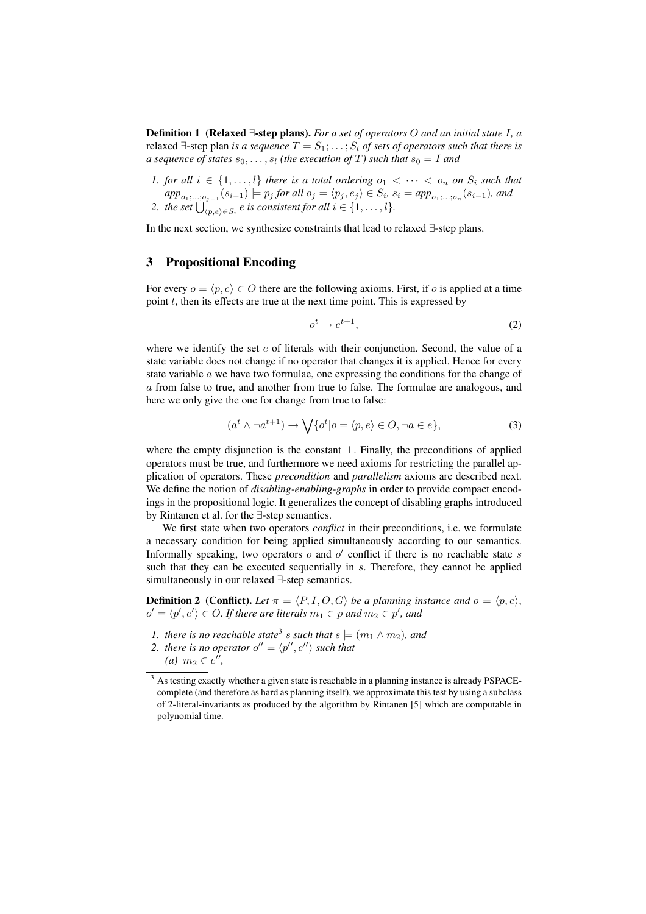Definition 1 (Relaxed ∃-step plans). *For a set of operators* O *and an initial state* I*, a* relaxed  $∃$ -step plan *is a sequence*  $T = S_1; \ldots; S_l$  *of sets of operators such that there is a sequence of states*  $s_0, \ldots, s_l$  *(the execution of T*) such that  $s_0 = I$  *and* 

*1. for all*  $i \in \{1, \ldots, l\}$  *there is a total ordering*  $o_1 < \cdots < o_n$  *on*  $S_i$  *such that*  $app_{o_1;...;o_{j-1}}(s_{i-1}) \models p_j$  *for all*  $o_j = \langle p_j, e_j \rangle \in S_i$ ,  $s_i = app_{o_1;...;o_n}(s_{i-1})$ , and 2. the set  $\bigcup_{\langle p,e \rangle \in S_i} e$  is consistent for all  $i \in \{1, \ldots, l\}$ *.* 

In the next section, we synthesize constraints that lead to relaxed ∃-step plans.

## 3 Propositional Encoding

For every  $o = \langle p, e \rangle \in O$  there are the following axioms. First, if o is applied at a time point  $t$ , then its effects are true at the next time point. This is expressed by

$$
o^t \to e^{t+1},\tag{2}
$$

where we identify the set  $e$  of literals with their conjunction. Second, the value of a state variable does not change if no operator that changes it is applied. Hence for every state variable a we have two formulae, one expressing the conditions for the change of a from false to true, and another from true to false. The formulae are analogous, and here we only give the one for change from true to false:

$$
(at \wedge \neg at+1) \rightarrow \bigvee \{ot | o = \langle p, e \rangle \in O, \neg a \in e \},
$$
\n(3)

where the empty disjunction is the constant  $\perp$ . Finally, the preconditions of applied operators must be true, and furthermore we need axioms for restricting the parallel application of operators. These *precondition* and *parallelism* axioms are described next. We define the notion of *disabling-enabling-graphs* in order to provide compact encodings in the propositional logic. It generalizes the concept of disabling graphs introduced by Rintanen et al. for the ∃-step semantics.

We first state when two operators *conflict* in their preconditions, i.e. we formulate a necessary condition for being applied simultaneously according to our semantics. Informally speaking, two operators  $o$  and  $o'$  conflict if there is no reachable state  $s$ such that they can be executed sequentially in  $s$ . Therefore, they cannot be applied simultaneously in our relaxed ∃-step semantics.

**Definition 2** (Conflict). Let  $\pi = \langle P, I, O, G \rangle$  be a planning instance and  $o = \langle p, e \rangle$ ,  $o' = \langle p', e' \rangle \in O$ . If there are literals  $m_1 \in p$  and  $m_2 \in p'$ , and

- *1. there is no reachable state*<sup>3</sup> *s such that*  $s \models (m_1 \land m_2)$ *, and*
- 2. there is no operator  $o'' = \langle p'', e'' \rangle$  such that  $(n)$   $m_2 \in e''$ ,

<sup>&</sup>lt;sup>3</sup> As testing exactly whether a given state is reachable in a planning instance is already PSPACEcomplete (and therefore as hard as planning itself), we approximate this test by using a subclass of 2-literal-invariants as produced by the algorithm by Rintanen [5] which are computable in polynomial time.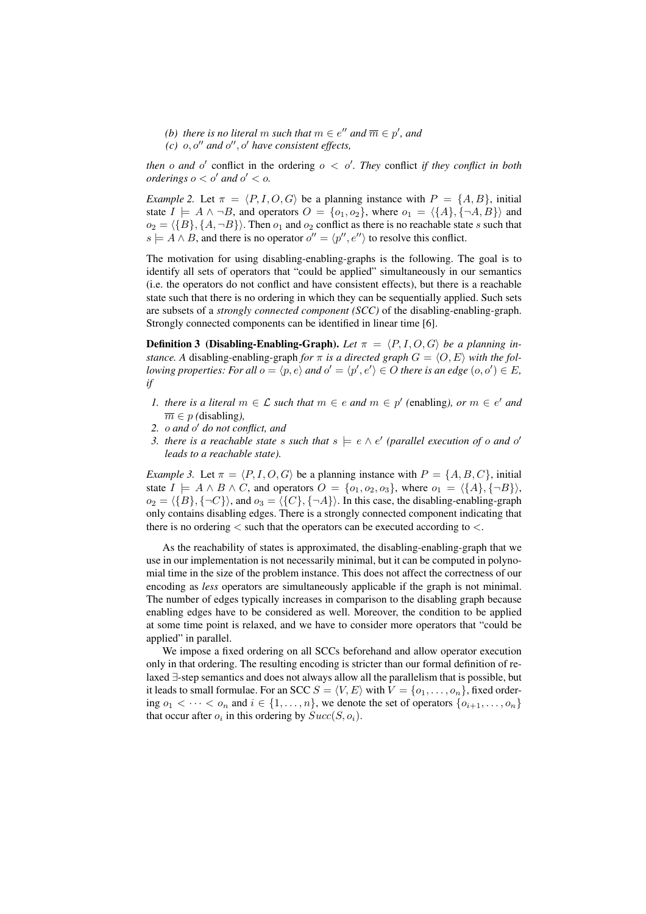*(b)* there is no literal  $m$  such that  $m \in e^{\prime\prime}$  and  $\overline{m} \in p'$ , and

*(c)* o, o′′ *and* o ′′, o′ *have consistent effects,*

*then*  $o$  *and*  $o'$  conflict in the ordering  $o < o'$ . They conflict *if they conflict in both orderings*  $o < o'$  *and*  $o' < o$ .

*Example 2.* Let  $\pi = \langle P, I, O, G \rangle$  be a planning instance with  $P = \{A, B\}$ , initial state  $I \models A \land \neg B$ , and operators  $O = \{o_1, o_2\}$ , where  $o_1 = \langle \{A\}, \{\neg A, B\} \rangle$  and  $o_2 = \langle \{B\}, \{A, \neg B\} \rangle$ . Then  $o_1$  and  $o_2$  conflict as there is no reachable state s such that  $s \models A \land B$ , and there is no operator  $o'' = \langle p'', e'' \rangle$  to resolve this conflict.

The motivation for using disabling-enabling-graphs is the following. The goal is to identify all sets of operators that "could be applied" simultaneously in our semantics (i.e. the operators do not conflict and have consistent effects), but there is a reachable state such that there is no ordering in which they can be sequentially applied. Such sets are subsets of a *strongly connected component (SCC)* of the disabling-enabling-graph. Strongly connected components can be identified in linear time [6].

**Definition 3** (Disabling-Enabling-Graph). Let  $\pi = \langle P, I, O, G \rangle$  be a planning in*stance.* A disabling-enabling-graph *for*  $\pi$  *is a directed graph*  $G = \langle O, E \rangle$  *with the following properties: For all*  $o = \langle p, e \rangle$  *and*  $o' = \langle p', e' \rangle \in O$  *there is an edge*  $(o, o') \in E$ *, if*

- *1. there is a literal*  $m \in \mathcal{L}$  *such that*  $m \in e$  *and*  $m \in p'$  (enabling), or  $m \in e'$  and  $\overline{m} \in p$  (disabling),
- *2.* o *and* o ′ *do not conflict, and*
- *3. there is a reachable state s such that*  $s \models e \land e'$  (parallel execution of o and o' *leads to a reachable state).*

*Example 3.* Let  $\pi = \langle P, I, O, G \rangle$  be a planning instance with  $P = \{A, B, C\}$ , initial state  $I \models A \land B \land C$ , and operators  $O = \{o_1, o_2, o_3\}$ , where  $o_1 = \langle \{A\}, \{\neg B\} \rangle$ ,  $o_2 = \langle \{B\}, \{\neg C\} \rangle$ , and  $o_3 = \langle \{C\}, \{\neg A\} \rangle$ . In this case, the disabling-enabling-graph only contains disabling edges. There is a strongly connected component indicating that there is no ordering  $\lt$  such that the operators can be executed according to  $\lt$ .

As the reachability of states is approximated, the disabling-enabling-graph that we use in our implementation is not necessarily minimal, but it can be computed in polynomial time in the size of the problem instance. This does not affect the correctness of our encoding as *less* operators are simultaneously applicable if the graph is not minimal. The number of edges typically increases in comparison to the disabling graph because enabling edges have to be considered as well. Moreover, the condition to be applied at some time point is relaxed, and we have to consider more operators that "could be applied" in parallel.

We impose a fixed ordering on all SCCs beforehand and allow operator execution only in that ordering. The resulting encoding is stricter than our formal definition of relaxed ∃-step semantics and does not always allow all the parallelism that is possible, but it leads to small formulae. For an SCC  $S = \langle V, E \rangle$  with  $V = \{o_1, \ldots, o_n\}$ , fixed ordering  $o_1 < \cdots < o_n$  and  $i \in \{1, \ldots, n\}$ , we denote the set of operators  $\{o_{i+1}, \ldots, o_n\}$ that occur after  $o_i$  in this ordering by  $Succ(S, o_i)$ .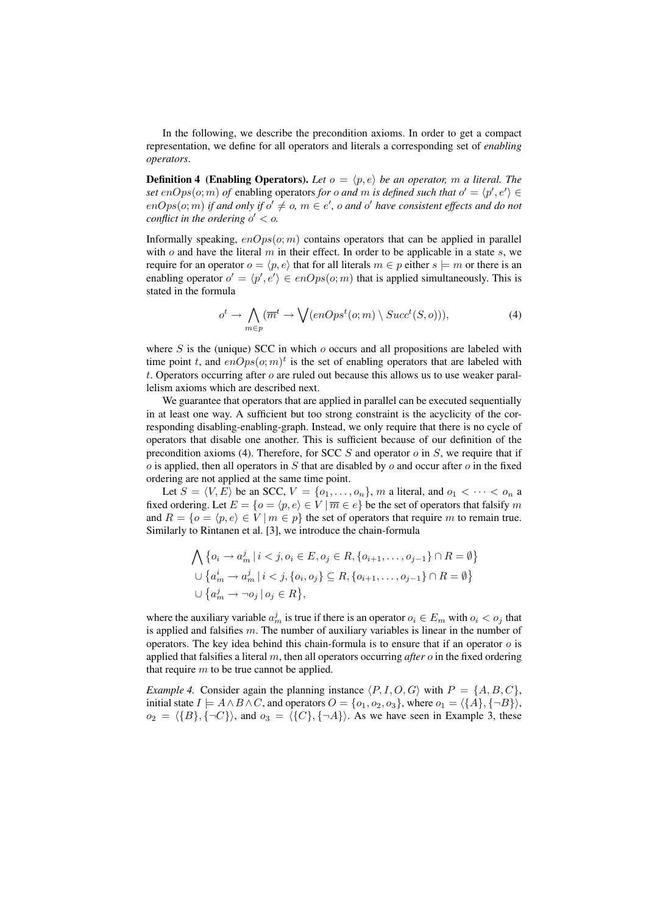In the following, we describe the precondition axioms. In order to get a compact representation, we define for all operators and literals a corresponding set of *enabling operators*.

**Definition 4 (Enabling Operators).** Let  $o = \langle p, e \rangle$  be an operator, m a literal. The *set*  $enOps(o; m)$  *of* enabling operators *for o and m is defined such that*  $o' = \langle p', e' \rangle \in$  $e n O p s (o; m)$  if and only if  $o' \neq o, m \in e', o$  and  $o'$  have consistent effects and do not *conflict in the ordering*  $o' < o$ .

Informally speaking,  $enOps(o; m)$  contains operators that can be applied in parallel with o and have the literal  $m$  in their effect. In order to be applicable in a state  $s$ , we require for an operator  $o = \langle p, e \rangle$  that for all literals  $m \in p$  either  $s \models m$  or there is an enabling operator  $o' = \langle p', e' \rangle \in enOps(o; m)$  that is applied simultaneously. This is stated in the formula

$$
o^t \to \bigwedge_{m \in p} (\overline{m}^t \to \bigvee(enOps^t(o; m) \setminus Succ^t(S, o))), \tag{4}
$$

where  $S$  is the (unique) SCC in which  $o$  occurs and all propositions are labeled with time point t, and  $enOps(o; m)^t$  is the set of enabling operators that are labeled with t. Operators occurring after  $\sigma$  are ruled out because this allows us to use weaker parallelism axioms which are described next.

We guarantee that operators that are applied in parallel can be executed sequentially in at least one way. A sufficient but too strong constraint is the acyclicity of the corresponding disabling-enabling-graph. Instead, we only require that there is no cycle of operators that disable one another. This is sufficient because of our definition of the precondition axioms (4). Therefore, for SCC S and operator  $o$  in S, we require that if  $o$  is applied, then all operators in  $S$  that are disabled by  $o$  and occur after  $o$  in the fixed ordering are not applied at the same time point.

Let  $S = \langle V, E \rangle$  be an SCC,  $V = \{o_1, \ldots, o_n\}$ , m a literal, and  $o_1 < \cdots < o_n$  a fixed ordering. Let  $E = \{o = \langle p, e \rangle \in V | \overline{m} \in e\}$  be the set of operators that falsify m and  $R = \{o = \langle p, e \rangle \in V \mid m \in p\}$  the set of operators that require m to remain true. Similarly to Rintanen et al. [3], we introduce the chain-formula

$$
\bigwedge \{o_i \to a_m^j \mid i < j, o_i \in E, o_j \in R, \{o_{i+1}, \ldots, o_{j-1}\} \cap R = \emptyset\}
$$
\n
$$
\cup \{a_m^i \to a_m^j \mid i < j, \{o_i, o_j\} \subseteq R, \{o_{i+1}, \ldots, o_{j-1}\} \cap R = \emptyset\}
$$
\n
$$
\cup \{a_m^j \to \neg o_j \mid o_j \in R\},
$$

where the auxiliary variable  $a_m^j$  is true if there is an operator  $o_i \in E_m$  with  $o_i < o_j$  that is applied and falsifies  $m$ . The number of auxiliary variables is linear in the number of operators. The key idea behind this chain-formula is to ensure that if an operator  $o$  is applied that falsifies a literal m, then all operators occurring *after* o in the fixed ordering that require  $m$  to be true cannot be applied.

*Example 4.* Consider again the planning instance  $\langle P, I, O, G \rangle$  with  $P = \{A, B, C\},\$ initial state  $I \models A \land B \land C$ , and operators  $O = \{o_1, o_2, o_3\}$ , where  $o_1 = \langle \{A\}, \{\neg B\} \rangle$ ,  $o_2 = \langle {B}, {\neg C} \rangle$ , and  $o_3 = \langle {C}, {\neg A} \rangle$ . As we have seen in Example 3, these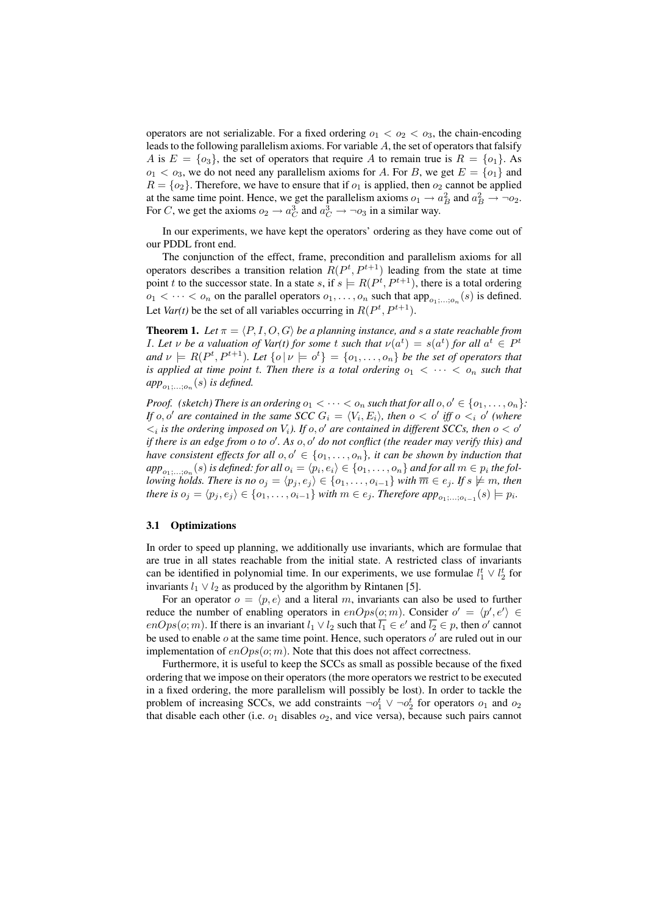operators are not serializable. For a fixed ordering  $o_1 < o_2 < o_3$ , the chain-encoding leads to the following parallelism axioms. For variable A, the set of operators that falsify A is  $E = \{o_3\}$ , the set of operators that require A to remain true is  $R = \{o_1\}$ . As  $o_1 < o_3$ , we do not need any parallelism axioms for A. For B, we get  $E = \{o_1\}$  and  $R = \{o_2\}$ . Therefore, we have to ensure that if  $o_1$  is applied, then  $o_2$  cannot be applied at the same time point. Hence, we get the parallelism axioms  $o_1 \rightarrow a_B^2$  and  $a_B^2 \rightarrow \neg o_2$ . For C, we get the axioms  $o_2 \to a_C^3$  and  $a_C^3 \to \neg o_3$  in a similar way.

In our experiments, we have kept the operators' ordering as they have come out of our PDDL front end.

The conjunction of the effect, frame, precondition and parallelism axioms for all operators describes a transition relation  $R(P^t, P^{t+1})$  leading from the state at time point t to the successor state. In a state s, if  $s \models R(P^t, P^{t+1})$ , there is a total ordering  $o_1 < \cdots < o_n$  on the parallel operators  $o_1, \ldots, o_n$  such that  $app_{o_1; \ldots, o_n}(s)$  is defined. Let *Var(t)* be the set of all variables occurring in  $R(P^t, P^{t+1})$ .

**Theorem 1.** Let  $\pi = \langle P, I, O, G \rangle$  be a planning instance, and s a state reachable from *I*. Let v be a valuation of Var(t) for some t such that  $\nu(a^t) = s(a^t)$  for all  $a^t \in P^t$ *and*  $\nu \models R(P^t, P^{t+1})$ *. Let*  $\{o | \nu \models o^t\} = \{o_1, \ldots, o_n\}$  *be the set of operators that is applied at time point t. Then there is a total ordering*  $o_1 < \cdots < o_n$  *such that*  $app_{o_1;\ldots,o_n}(s)$  *is defined.* 

*Proof.* (sketch) There is an ordering  $o_1 < \cdots < o_n$  such that for all  $o, o' \in \{o_1, \ldots, o_n\}$ : *If*  $o, o'$  are contained in the same SCC  $G_i = \langle V_i, E_i \rangle$ , then  $o < o'$  iff  $o <_i o'$  (where  $\langle \xi_i \rangle$  *is the ordering imposed on*  $V_i$ *). If*  $o, o'$  *are contained in different SCCs, then*  $o < o'$ *if there is an edge from* o *to* o ′ *. As* o, o′ *do not conflict (the reader may verify this) and have consistent effects for all*  $o, o' \in \{o_1, \ldots, o_n\}$ , *it can be shown by induction that*  $app_{o_1;...;o_n}(s)$  is defined: for all  $o_i = \langle p_i,e_i \rangle \in \{o_1,\ldots,o_n\}$  and for all  $m \in p_i$  the fol*lowing holds. There is no*  $o_j = \langle p_j, e_j \rangle \in \{o_1, \ldots, o_{i-1}\}$  *with*  $\overline{m} \in e_j$ *. If*  $s \not\models m$ *, then there is*  $o_j = \langle p_j, e_j \rangle \in \{o_1, \ldots, o_{i-1}\}\$  *with*  $m \in e_j$ . *Therefore app*<sub> $o_1; \ldots, o_{i-1}(s) \models p_i$ .</sub>

#### 3.1 Optimizations

In order to speed up planning, we additionally use invariants, which are formulae that are true in all states reachable from the initial state. A restricted class of invariants can be identified in polynomial time. In our experiments, we use formulae  $l_1^t \vee l_2^t$  for invariants  $l_1 \vee l_2$  as produced by the algorithm by Rintanen [5].

For an operator  $o = \langle p, e \rangle$  and a literal m, invariants can also be used to further reduce the number of enabling operators in  $enOps(o; m)$ . Consider  $o' = \langle p', e' \rangle \in$  $enOps(o; m)$ . If there is an invariant  $l_1 \vee l_2$  such that  $\overline{l_1} \in e'$  and  $\overline{l_2} \in p$ , then  $o'$  cannot be used to enable  $o$  at the same time point. Hence, such operators  $o'$  are ruled out in our implementation of  $enOps(o; m)$ . Note that this does not affect correctness.

Furthermore, it is useful to keep the SCCs as small as possible because of the fixed ordering that we impose on their operators (the more operators we restrict to be executed in a fixed ordering, the more parallelism will possibly be lost). In order to tackle the problem of increasing SCCs, we add constraints  $\neg o_1^t \vee \neg o_2^t$  for operators  $o_1$  and  $o_2$ that disable each other (i.e.  $o_1$  disables  $o_2$ , and vice versa), because such pairs cannot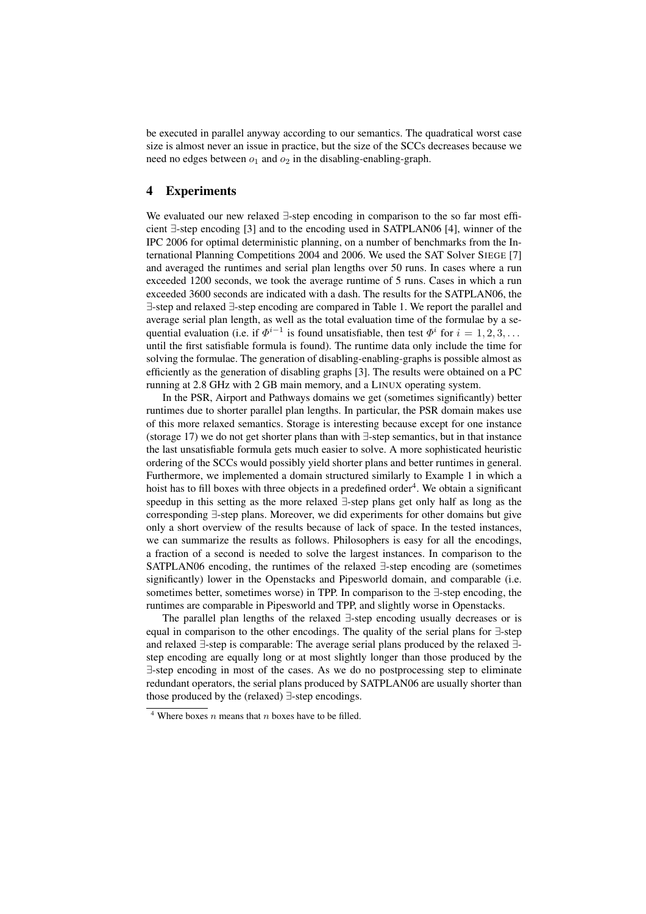be executed in parallel anyway according to our semantics. The quadratical worst case size is almost never an issue in practice, but the size of the SCCs decreases because we need no edges between  $o_1$  and  $o_2$  in the disabling-enabling-graph.

## 4 Experiments

We evaluated our new relaxed ∃-step encoding in comparison to the so far most efficient ∃-step encoding [3] and to the encoding used in SATPLAN06 [4], winner of the IPC 2006 for optimal deterministic planning, on a number of benchmarks from the International Planning Competitions 2004 and 2006. We used the SAT Solver SIEGE [7] and averaged the runtimes and serial plan lengths over 50 runs. In cases where a run exceeded 1200 seconds, we took the average runtime of 5 runs. Cases in which a run exceeded 3600 seconds are indicated with a dash. The results for the SATPLAN06, the ∃-step and relaxed ∃-step encoding are compared in Table 1. We report the parallel and average serial plan length, as well as the total evaluation time of the formulae by a sequential evaluation (i.e. if  $\Phi^{i-1}$  is found unsatisfiable, then test  $\Phi^i$  for  $i = 1, 2, 3, \dots$ until the first satisfiable formula is found). The runtime data only include the time for solving the formulae. The generation of disabling-enabling-graphs is possible almost as efficiently as the generation of disabling graphs [3]. The results were obtained on a PC running at 2.8 GHz with 2 GB main memory, and a LINUX operating system.

In the PSR, Airport and Pathways domains we get (sometimes significantly) better runtimes due to shorter parallel plan lengths. In particular, the PSR domain makes use of this more relaxed semantics. Storage is interesting because except for one instance (storage 17) we do not get shorter plans than with ∃-step semantics, but in that instance the last unsatisfiable formula gets much easier to solve. A more sophisticated heuristic ordering of the SCCs would possibly yield shorter plans and better runtimes in general. Furthermore, we implemented a domain structured similarly to Example 1 in which a hoist has to fill boxes with three objects in a predefined order<sup>4</sup>. We obtain a significant speedup in this setting as the more relaxed ∃-step plans get only half as long as the corresponding ∃-step plans. Moreover, we did experiments for other domains but give only a short overview of the results because of lack of space. In the tested instances, we can summarize the results as follows. Philosophers is easy for all the encodings, a fraction of a second is needed to solve the largest instances. In comparison to the SATPLAN06 encoding, the runtimes of the relaxed ∃-step encoding are (sometimes significantly) lower in the Openstacks and Pipesworld domain, and comparable (i.e. sometimes better, sometimes worse) in TPP. In comparison to the ∃-step encoding, the runtimes are comparable in Pipesworld and TPP, and slightly worse in Openstacks.

The parallel plan lengths of the relaxed ∃-step encoding usually decreases or is equal in comparison to the other encodings. The quality of the serial plans for ∃-step and relaxed ∃-step is comparable: The average serial plans produced by the relaxed ∃ step encoding are equally long or at most slightly longer than those produced by the ∃-step encoding in most of the cases. As we do no postprocessing step to eliminate redundant operators, the serial plans produced by SATPLAN06 are usually shorter than those produced by the (relaxed) ∃-step encodings.

 $4$  Where boxes n means that n boxes have to be filled.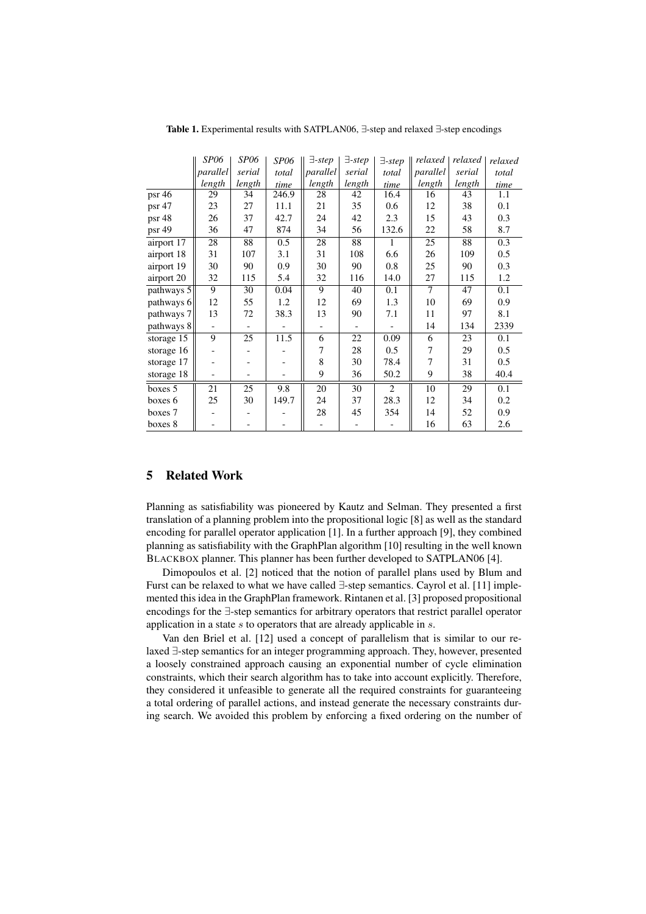|              | <i>SP06</i>              | <i>SP06</i> | SP06  | $\exists$ -step          | $\exists$ -step | $\exists$ -step | relaxed  | relaxed | relaxed |
|--------------|--------------------------|-------------|-------|--------------------------|-----------------|-----------------|----------|---------|---------|
|              | parallel                 | serial      | total | parallel                 | serial          | total           | parallel | serial  | total   |
|              | length                   | length      | time  | length                   | length          | time            | length   | length  | time    |
| psr 46       | 29                       | 34          | 246.9 | 28                       | 42              | 16.4            | 16       | 43      | 1.1     |
| psr 47       | 23                       | 27          | 11.1  | 21                       | 35              | 0.6             | 12       | 38      | 0.1     |
| psr 48       | 26                       | 37          | 42.7  | 24                       | 42              | 2.3             | 15       | 43      | 0.3     |
| psr 49       | 36                       | 47          | 874   | 34                       | 56              | 132.6           | 22       | 58      | 8.7     |
| airport 17   | 28                       | 88          | 0.5   | 28                       | 88              | 1               | 25       | 88      | 0.3     |
| airport 18   | 31                       | 107         | 3.1   | 31                       | 108             | 6.6             | 26       | 109     | 0.5     |
| airport 19   | 30                       | 90          | 0.9   | 30                       | 90              | 0.8             | 25       | 90      | 0.3     |
| airport 20   | 32                       | 115         | 5.4   | 32                       | 116             | 14.0            | 27       | 115     | 1.2     |
| pathways $5$ | 9                        | 30          | 0.04  | 9                        | 40              | 0.1             | 7        | 47      | 0.1     |
| pathways $6$ | 12                       | 55          | 1.2   | 12                       | 69              | 1.3             | 10       | 69      | 0.9     |
| pathways 7   | 13                       | 72          | 38.3  | 13                       | 90              | 7.1             | 11       | 97      | 8.1     |
| pathways 8   | $\overline{\phantom{a}}$ |             |       | $\overline{\phantom{a}}$ |                 |                 | 14       | 134     | 2339    |
| storage 15   | 9                        | 25          | 11.5  | 6                        | 22              | 0.09            | 6        | 23      | 0.1     |
| storage 16   |                          |             |       | 7                        | 28              | 0.5             | 7        | 29      | 0.5     |
| storage 17   |                          |             |       | 8                        | 30              | 78.4            | 7        | 31      | 0.5     |
| storage 18   |                          |             |       | 9                        | 36              | 50.2            | 9        | 38      | 40.4    |
| boxes 5      | 21                       | 25          | 9.8   | 20                       | 30              | $\overline{2}$  | 10       | 29      | 0.1     |
| boxes 6      | 25                       | 30          | 149.7 | 24                       | 37              | 28.3            | 12       | 34      | 0.2     |
| boxes 7      |                          |             |       | 28                       | 45              | 354             | 14       | 52      | 0.9     |
| boxes 8      |                          |             |       |                          |                 |                 | 16       | 63      | 2.6     |

Table 1. Experimental results with SATPLAN06, ∃-step and relaxed ∃-step encodings

# 5 Related Work

Planning as satisfiability was pioneered by Kautz and Selman. They presented a first translation of a planning problem into the propositional logic [8] as well as the standard encoding for parallel operator application [1]. In a further approach [9], they combined planning as satisfiability with the GraphPlan algorithm [10] resulting in the well known BLACKBOX planner. This planner has been further developed to SATPLAN06 [4].

Dimopoulos et al. [2] noticed that the notion of parallel plans used by Blum and Furst can be relaxed to what we have called ∃-step semantics. Cayrol et al. [11] implemented this idea in the GraphPlan framework. Rintanen et al. [3] proposed propositional encodings for the ∃-step semantics for arbitrary operators that restrict parallel operator application in a state  $s$  to operators that are already applicable in  $s$ .

Van den Briel et al. [12] used a concept of parallelism that is similar to our relaxed ∃-step semantics for an integer programming approach. They, however, presented a loosely constrained approach causing an exponential number of cycle elimination constraints, which their search algorithm has to take into account explicitly. Therefore, they considered it unfeasible to generate all the required constraints for guaranteeing a total ordering of parallel actions, and instead generate the necessary constraints during search. We avoided this problem by enforcing a fixed ordering on the number of